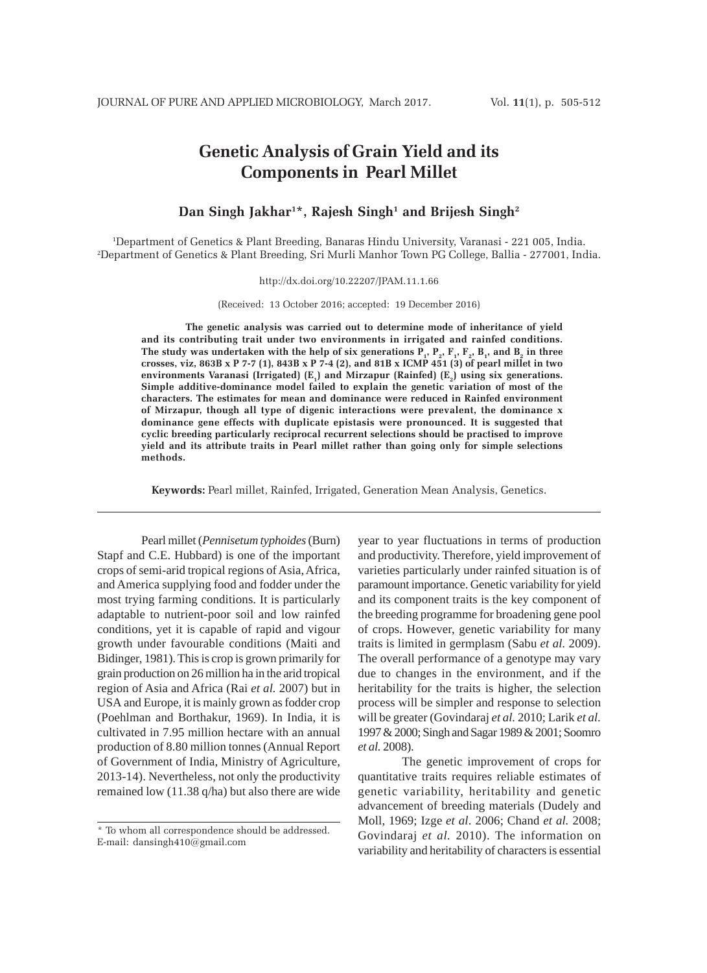# **Genetic Analysis of Grain Yield and its Components in Pearl Millet**

## **Dan Singh Jakhar1 \*, Rajesh Singh1 and Brijesh Singh2**

1 Department of Genetics & Plant Breeding, Banaras Hindu University, Varanasi - 221 005, India. 2 Department of Genetics & Plant Breeding, Sri Murli Manhor Town PG College, Ballia - 277001, India.

http://dx.doi.org/10.22207/JPAM.11.1.66

(Received: 13 October 2016; accepted: 19 December 2016)

**The genetic analysis was carried out to determine mode of inheritance of yield and its contributing trait under two environments in irrigated and rainfed conditions.** The study was undertaken with the help of six generations  $\overline{P}_1$ ,  $P_2$ ,  $F_3$ ,  $F_2$ ,  $B_4$ , and  $B_2$  in three **crosses, viz, 863B x P 7-7 (1), 843B x P 7-4 (2), and 81B x ICMP 451 (3) of pearl millet in two** environments Varanasi (Irrigated) (E<sub>1</sub>) and Mirzapur (Rainfed) (E<sub>2</sub>) using six generations. **Simple additive-dominance model failed to explain the genetic variation of most of the characters. The estimates for mean and dominance were reduced in Rainfed environment of Mirzapur, though all type of digenic interactions were prevalent, the dominance x dominance gene effects with duplicate epistasis were pronounced. It is suggested that cyclic breeding particularly reciprocal recurrent selections should be practised to improve yield and its attribute traits in Pearl millet rather than going only for simple selections methods.**

**Keywords:** Pearl millet, Rainfed, Irrigated, Generation Mean Analysis, Genetics.

Pearl millet (*Pennisetum typhoides* (Burn) Stapf and C.E. Hubbard) is one of the important crops of semi-arid tropical regions of Asia, Africa, and America supplying food and fodder under the most trying farming conditions. It is particularly adaptable to nutrient-poor soil and low rainfed conditions, yet it is capable of rapid and vigour growth under favourable conditions (Maiti and Bidinger, 1981). This is crop is grown primarily for grain production on 26 million ha in the arid tropical region of Asia and Africa (Rai *et al.* 2007) but in USA and Europe, it is mainly grown as fodder crop (Poehlman and Borthakur, 1969). In India, it is cultivated in 7.95 million hectare with an annual production of 8.80 million tonnes (Annual Report of Government of India, Ministry of Agriculture, 2013-14). Nevertheless, not only the productivity remained low (11.38 q/ha) but also there are wide

year to year fluctuations in terms of production and productivity. Therefore, yield improvement of varieties particularly under rainfed situation is of paramount importance. Genetic variability for yield and its component traits is the key component of the breeding programme for broadening gene pool of crops. However, genetic variability for many traits is limited in germplasm (Sabu *et al.* 2009). The overall performance of a genotype may vary due to changes in the environment, and if the heritability for the traits is higher, the selection process will be simpler and response to selection will be greater (Govindaraj *et al.* 2010; Larik *et al.* 1997 & 2000; Singh and Sagar 1989 & 2001; Soomro *et al.* 2008).

The genetic improvement of crops for quantitative traits requires reliable estimates of genetic variability, heritability and genetic advancement of breeding materials (Dudely and Moll, 1969; Izge *et al*. 2006; Chand *et al.* 2008; Govindaraj *et al.* 2010). The information on variability and heritability of characters is essential

<sup>\*</sup> To whom all correspondence should be addressed. E-mail: dansingh410@gmail.com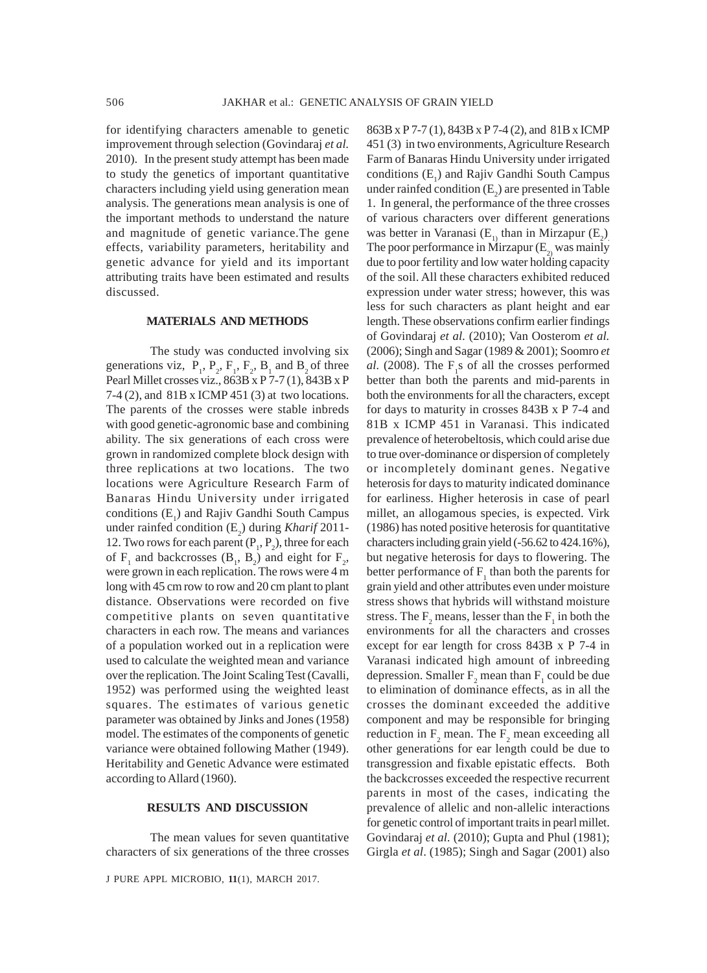for identifying characters amenable to genetic improvement through selection (Govindaraj *et al.* 2010). In the present study attempt has been made to study the genetics of important quantitative characters including yield using generation mean analysis. The generations mean analysis is one of the important methods to understand the nature and magnitude of genetic variance.The gene effects, variability parameters, heritability and genetic advance for yield and its important attributing traits have been estimated and results discussed.

### **MATERIALS AND METHODS**

The study was conducted involving six generations viz,  $P_1$ ,  $P_2$ ,  $F_1$ ,  $F_2$ ,  $B_1$  and  $B_2$  of three Pearl Millet crosses viz., 863B x P 7-7 (1), 843B x P 7-4 (2), and 81B x ICMP 451 (3) at two locations. The parents of the crosses were stable inbreds with good genetic-agronomic base and combining ability. The six generations of each cross were grown in randomized complete block design with three replications at two locations. The two locations were Agriculture Research Farm of Banaras Hindu University under irrigated conditions  $(E_1)$  and Rajiv Gandhi South Campus under rainfed condition (E<sub>2</sub>) during *Kharif* 2011-12. Two rows for each parent  $(P_1, P_2)$ , three for each of  $F_1$  and backcrosses  $(B_1, B_2)$  and eight for  $F_2$ , were grown in each replication. The rows were 4 m long with 45 cm row to row and 20 cm plant to plant distance. Observations were recorded on five competitive plants on seven quantitative characters in each row. The means and variances of a population worked out in a replication were used to calculate the weighted mean and variance over the replication. The Joint Scaling Test (Cavalli, 1952) was performed using the weighted least squares. The estimates of various genetic parameter was obtained by Jinks and Jones (1958) model. The estimates of the components of genetic variance were obtained following Mather (1949). Heritability and Genetic Advance were estimated according to Allard (1960).

## **RESULTS AND DISCUSSION**

The mean values for seven quantitative characters of six generations of the three crosses

J PURE APPL MICROBIO*,* **11**(1), MARCH 2017.

863B x P 7-7 (1), 843B x P 7-4 (2), and 81B x ICMP 451 (3) in two environments, Agriculture Research Farm of Banaras Hindu University under irrigated conditions  $(E_1)$  and Rajiv Gandhi South Campus under rainfed condition  $(E_2)$  are presented in Table 1. In general, the performance of the three crosses of various characters over different generations was better in Varanasi  $(E_{1)}$  than in Mirzapur  $(E_{2})$ The poor performance in Mirzapur  $(E_2)$  was mainly due to poor fertility and low water holding capacity of the soil. All these characters exhibited reduced expression under water stress; however, this was less for such characters as plant height and ear length. These observations confirm earlier findings of Govindaraj *et al.* (2010); Van Oosterom *et al.* (2006); Singh and Sagar (1989 & 2001); Soomro *et*  $al.$  (2008). The  $F_1s$  of all the crosses performed better than both the parents and mid-parents in both the environments for all the characters, except for days to maturity in crosses 843B x P 7-4 and 81B x ICMP 451 in Varanasi. This indicated prevalence of heterobeltosis, which could arise due to true over-dominance or dispersion of completely or incompletely dominant genes. Negative heterosis for days to maturity indicated dominance for earliness. Higher heterosis in case of pearl millet, an allogamous species, is expected. Virk (1986) has noted positive heterosis for quantitative characters including grain yield (-56.62 to 424.16%), but negative heterosis for days to flowering. The better performance of  $F_1$  than both the parents for grain yield and other attributes even under moisture stress shows that hybrids will withstand moisture stress. The  $F_2$  means, lesser than the  $F_1$  in both the environments for all the characters and crosses except for ear length for cross 843B x P 7-4 in Varanasi indicated high amount of inbreeding depression. Smaller  $F_2$  mean than  $F_1$  could be due to elimination of dominance effects, as in all the crosses the dominant exceeded the additive component and may be responsible for bringing reduction in  $F_2$  mean. The  $F_2$  mean exceeding all other generations for ear length could be due to transgression and fixable epistatic effects. Both the backcrosses exceeded the respective recurrent parents in most of the cases, indicating the prevalence of allelic and non-allelic interactions for genetic control of important traits in pearl millet. Govindaraj *et al.* (2010); Gupta and Phul (1981); Girgla *et al*. (1985); Singh and Sagar (2001) also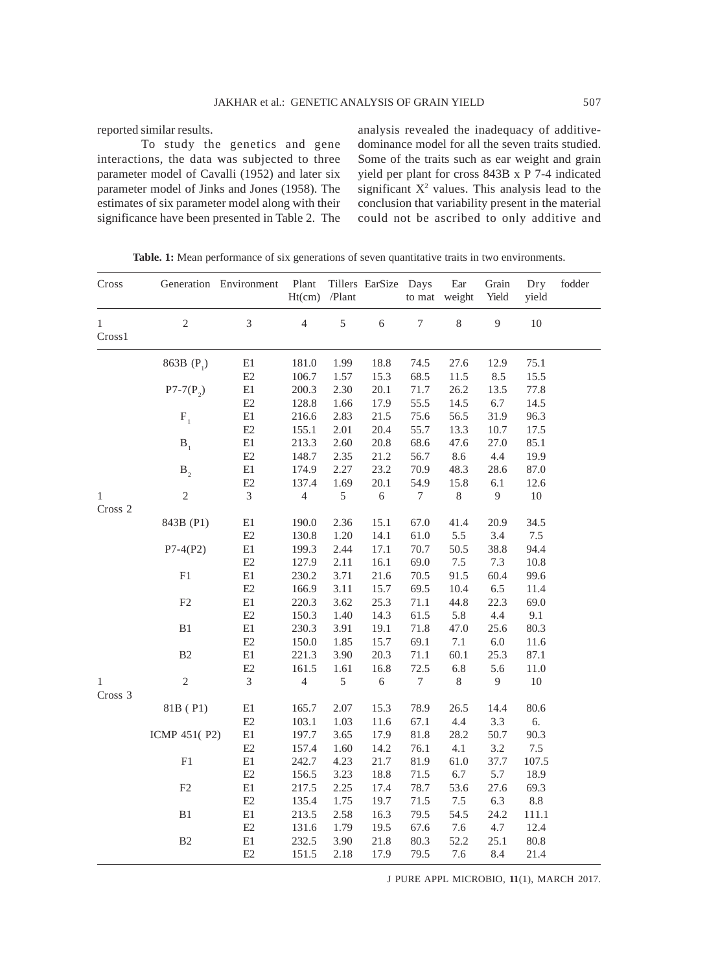reported similar results.

To study the genetics and gene interactions, the data was subjected to three parameter model of Cavalli (1952) and later six parameter model of Jinks and Jones (1958). The estimates of six parameter model along with their significance have been presented in Table 2. The analysis revealed the inadequacy of additivedominance model for all the seven traits studied. Some of the traits such as ear weight and grain yield per plant for cross 843B x P 7-4 indicated significant  $X^2$  values. This analysis lead to the conclusion that variability present in the material could not be ascribed to only additive and

| Cross                  |                        | Generation Environment     | Plant<br>Ht(cm) | /Plant | Tillers EarSize Days | to mat           | Ear<br>weight | Grain<br>Yield | Dry<br>yield | fodder |
|------------------------|------------------------|----------------------------|-----------------|--------|----------------------|------------------|---------------|----------------|--------------|--------|
| $\mathbf{1}$<br>Cross1 | $\overline{c}$         | 3                          | $\overline{4}$  | 5      | $\sqrt{6}$           | $\boldsymbol{7}$ | 8             | 9              | 10           |        |
|                        | 863B (P <sub>1</sub> ) | E1                         | 181.0           | 1.99   | 18.8                 | 74.5             | 27.6          | 12.9           | 75.1         |        |
|                        |                        | $\mathop{\rm E{2}}$        | 106.7           | 1.57   | 15.3                 | 68.5             | 11.5          | 8.5            | 15.5         |        |
|                        | $P7-7(P_2)$            | $\rm E1$                   | 200.3           | 2.30   | 20.1                 | 71.7             | 26.2          | 13.5           | 77.8         |        |
|                        |                        | E2                         | 128.8           | 1.66   | 17.9                 | 55.5             | 14.5          | 6.7            | 14.5         |        |
|                        | $\mathbf{F}_{1}$       | E1                         | 216.6           | 2.83   | 21.5                 | 75.6             | 56.5          | 31.9           | 96.3         |        |
|                        |                        | E2                         | 155.1           | 2.01   | 20.4                 | 55.7             | 13.3          | 10.7           | 17.5         |        |
|                        | B <sub>1</sub>         | $\rm E1$                   | 213.3           | 2.60   | 20.8                 | 68.6             | 47.6          | 27.0           | 85.1         |        |
|                        |                        | E2                         | 148.7           | 2.35   | 21.2                 | 56.7             | 8.6           | 4.4            | 19.9         |        |
|                        | B <sub>2</sub>         | $\rm E1$                   | 174.9           | 2.27   | 23.2                 | 70.9             | 48.3          | 28.6           | 87.0         |        |
|                        |                        | $\mathop{\rm E2}\nolimits$ | 137.4           | 1.69   | 20.1                 | 54.9             | 15.8          | 6.1            | 12.6         |        |
| $\mathbf{1}$           | $\overline{c}$         | $\mathfrak{Z}$             | $\overline{4}$  | 5      | 6                    | $\boldsymbol{7}$ | $\,8$         | 9              | $10\,$       |        |
| Cross 2                |                        |                            |                 |        |                      |                  |               |                |              |        |
|                        | 843B (P1)              | $\rm E1$                   | 190.0           | 2.36   | 15.1                 | 67.0             | 41.4          | 20.9           | 34.5         |        |
|                        |                        | E2                         | 130.8           | 1.20   | 14.1                 | 61.0             | 5.5           | 3.4            | 7.5          |        |
|                        | $P7-4(P2)$             | $\rm E1$                   | 199.3           | 2.44   | 17.1                 | 70.7             | 50.5          | 38.8           | 94.4         |        |
|                        |                        | E2                         | 127.9           | 2.11   | 16.1                 | 69.0             | 7.5           | 7.3            | 10.8         |        |
|                        | ${\rm F}1$             | $\rm E1$                   | 230.2           | 3.71   | 21.6                 | 70.5             | 91.5          | 60.4           | 99.6         |        |
|                        |                        | E2                         | 166.9           | 3.11   | 15.7                 | 69.5             | 10.4          | $6.5\,$        | 11.4         |        |
|                        | $\rm F2$               | $\rm E1$                   | 220.3           | 3.62   | 25.3                 | 71.1             | 44.8          | 22.3           | 69.0         |        |
|                        |                        | E2                         | 150.3           | 1.40   | 14.3                 | 61.5             | 5.8           | 4.4            | 9.1          |        |
|                        | B1                     | $\rm E1$                   | 230.3           | 3.91   | 19.1                 | 71.8             | 47.0          | 25.6           | 80.3         |        |
|                        |                        | E2                         | 150.0           | 1.85   | 15.7                 | 69.1             | 7.1           | $6.0\,$        | 11.6         |        |
|                        | B2                     | E1                         | 221.3           | 3.90   | 20.3                 | 71.1             | 60.1          | 25.3           | 87.1         |        |
|                        |                        | E2                         | 161.5           | 1.61   | 16.8                 | 72.5             | 6.8           | 5.6            | 11.0         |        |
| $\mathbf{1}$           | $\sqrt{2}$             | $\mathfrak{Z}$             | $\overline{4}$  | 5      | $\sqrt{6}$           | $\boldsymbol{7}$ | $8\,$         | $\overline{9}$ | $10\,$       |        |
| Cross 3                |                        |                            |                 |        |                      |                  |               |                |              |        |
|                        | 81B (P1)               | $\rm E1$                   | 165.7           | 2.07   | 15.3                 | 78.9             | 26.5          | 14.4           | 80.6         |        |
|                        |                        | E2                         | 103.1           | 1.03   | 11.6                 | 67.1             | 4.4           | 3.3            | 6.           |        |
|                        | ICMP 451(P2)           | $\rm E1$                   | 197.7           | 3.65   | 17.9                 | 81.8             | 28.2          | 50.7           | 90.3         |        |
|                        |                        | E2                         | 157.4           | 1.60   | 14.2                 | 76.1             | 4.1           | 3.2            | $7.5\,$      |        |
|                        | ${\rm F}1$             | $\rm E1$                   | 242.7           | 4.23   | 21.7                 | 81.9             | 61.0          | 37.7           | 107.5        |        |
|                        |                        | E2                         | 156.5           | 3.23   | 18.8                 | 71.5             | 6.7           | 5.7            | 18.9         |        |
|                        | $\rm F2$               | $\rm E1$                   | 217.5           | 2.25   | 17.4                 | 78.7             | 53.6          | 27.6           | 69.3         |        |
|                        |                        | E2                         | 135.4           | 1.75   | 19.7                 | 71.5             | $7.5\,$       | 6.3            | $8.8\,$      |        |
|                        | B1                     | E1                         | 213.5           | 2.58   | 16.3                 | 79.5             | 54.5          | 24.2           | 111.1        |        |
|                        |                        | E2                         | 131.6           | 1.79   | 19.5                 | 67.6             | 7.6           | 4.7            | 12.4         |        |
|                        | B2                     | $\rm E1$                   | 232.5           | 3.90   | 21.8                 | 80.3             | 52.2          | 25.1           | 80.8         |        |
|                        |                        | E2                         | 151.5           | 2.18   | 17.9                 | 79.5             | 7.6           | 8.4            | 21.4         |        |

**Table. 1:** Mean performance of six generations of seven quantitative traits in two environments.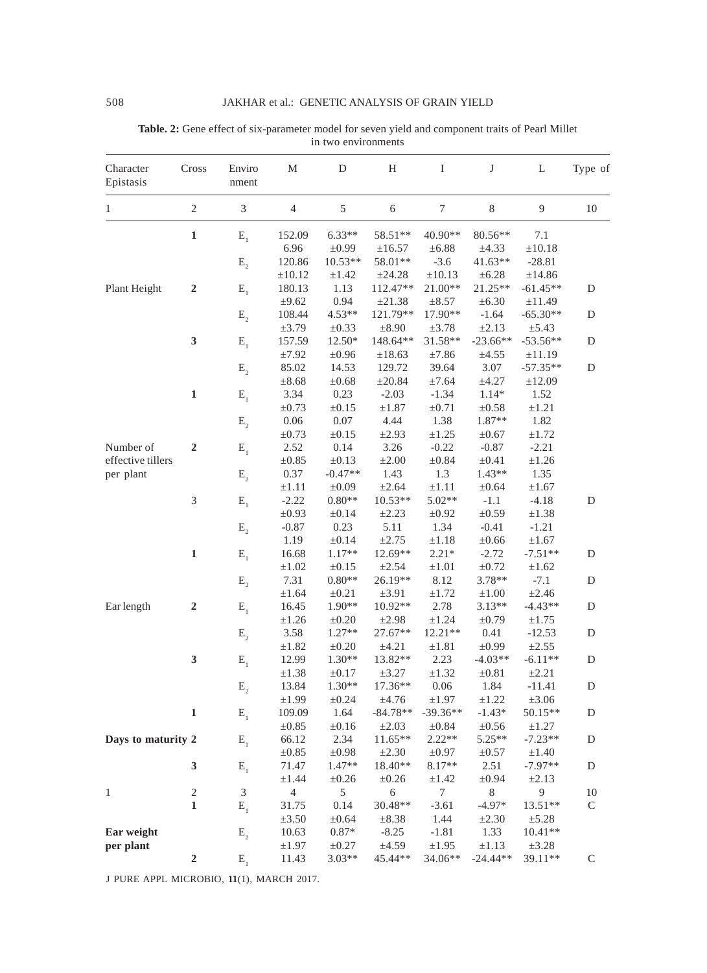# Character Cross Enviro M D H I J L Type of Epistasis nment 1 2 3 4 5 6 7 8 9 10 **1** E<sub>1</sub> 152.09 6.33\*\* 58.51\*\* 40.90\*\* 80.56\*\* 7.1 6.96  $\pm 0.99$   $\pm 16.57$   $\pm 6.88$   $\pm 4.33$   $\pm 10.18$  $E_2$  120.86 10.53\*\* 58.01\*\* -3.6 41.63\*\* -28.81  $\pm 10.12$   $\pm 1.42$   $\pm 24.28$   $\pm 10.13$   $\pm 6.28$   $\pm 14.86$ Plant Height **2** E<sub>1</sub> 180.13 1.13 112.47\*\* 21.00\*\* 21.25\*\* -61.45\*\* D  $\pm 9.62$  0.94  $\pm 21.38$   $\pm 8.57$   $\pm 6.30$   $\pm 11.49$  $E_2$  108.44 4.53\*\* 121.79\*\* 17.90\*\* -1.64 -65.30\*\* D  $\pm 3.79$   $\pm 0.33$   $\pm 8.90$   $\pm 3.78$   $\pm 2.13$   $\pm 5.43$ **3** E<sub>1</sub> 157.59 12.50\* 148.64\*\* 31.58\*\* -23.66\*\* -53.56\*\* D  $\pm 7.92$   $\pm 0.96$   $\pm 18.63$   $\pm 7.86$   $\pm 4.55$   $\pm 11.19$  $E_2$  85.02 14.53 129.72 39.64 3.07 -57.35\*\* D  $\pm 8.68$   $\pm 0.68$   $\pm 20.84$   $\pm 7.64$   $\pm 4.27$   $\pm 12.09$ **1** E<sub>1</sub> 3.34 0.23 -2.03 -1.34 1.14\* 1.52  $\pm 0.73$   $\pm 0.15$   $\pm 1.87$   $\pm 0.71$   $\pm 0.58$   $\pm 1.21$  $E_2$  0.06 0.07 4.44 1.38 1.87\*\* 1.82  $\pm 0.73$   $\pm 0.15$   $\pm 2.93$   $\pm 1.25$   $\pm 0.67$   $\pm 1.72$ Number of **2** E<sub>1</sub> 2.52 0.14 3.26 -0.22 -0.87 -2.21 effective tillers  $\pm 0.85$   $\pm 0.13$   $\pm 2.00$   $\pm 0.84$   $\pm 0.41$   $\pm 1.26$ per plant  $E_2$  0.37  $-0.47**$  1.43 1.3  $1.43**$  1.35  $\pm 1.11$   $\pm 0.09$   $\pm 2.64$   $\pm 1.11$   $\pm 0.64$   $\pm 1.67$ 3  $E_1$  -2.22  $0.80^{**}$  10.53\*\* 5.02\*\* -1.1 -4.18 D  $\pm 0.93$   $\pm 0.14$   $\pm 2.23$   $\pm 0.92$   $\pm 0.59$   $\pm 1.38$  $E_2$  -0.87 0.23 5.11 1.34 -0.41 -1.21 1.19  $\pm 0.14$   $\pm 2.75$   $\pm 1.18$   $\pm 0.66$   $\pm 1.67$ **1** E<sub>1</sub> 16.68 1.17\*\* 12.69\*\* 2.21\* -2.72 -7.51\*\* D  $\pm 1.02$   $\pm 0.15$   $\pm 2.54$   $\pm 1.01$   $\pm 0.72$   $\pm 1.62$  $E_2$  7.31 0.80\*\* 26.19\*\* 8.12 3.78\*\* -7.1 D  $\pm 1.64$   $\pm 0.21$   $\pm 3.91$   $\pm 1.72$   $\pm 1.00$   $\pm 2.46$ Ear length **2** E<sub>1</sub> 16.45 1.90\*\* 10.92\*\* 2.78 3.13\*\* -4.43\*\* D  $\pm 1.26$   $\pm 0.20$   $\pm 2.98$   $\pm 1.24$   $\pm 0.79$   $\pm 1.75$  $E_2$  3.58 1.27\*\* 27.67\*\* 12.21\*\* 0.41 -12.53 D  $\pm 1.82$   $\pm 0.20$   $\pm 4.21$   $\pm 1.81$   $\pm 0.99$   $\pm 2.55$ **3** E<sub>1</sub> 12.99 1.30\*\* 13.82\*\* 2.23 -4.03\*\* -6.11\*\* D  $\pm 1.38$   $\pm 0.17$   $\pm 3.27$   $\pm 1.32$   $\pm 0.81$   $\pm 2.21$  $E_2$  13.84 1.30\*\* 17.36\*\* 0.06 1.84 -11.41 D  $\pm 1.99$   $\pm 0.24$   $\pm 4.76$   $\pm 1.97$   $\pm 1.22$   $\pm 3.06$ **1** E<sub>1</sub> 109.09 1.64 -84.78\*\* -39.36\*\* -1.43\* 50.15\*\* D  $\pm 0.85$   $\pm 0.16$   $\pm 2.03$   $\pm 0.84$   $\pm 0.56$   $\pm 1.27$ **Days to maturity 2**  $E_1$  66.12 2.34 11.65\*\* 2.22\*\* 5.25\*\* -7.23\*\* D<br> $\pm 0.85$   $\pm 0.98$   $\pm 2.30$   $\pm 0.97$   $\pm 0.57$   $\pm 1.40$  $\pm 0.85$   $\pm 0.98$   $\pm 2.30$   $\pm 0.97$   $\pm 0.57$   $\pm 1.40$ **3** E<sub>1</sub> 71.47 1.47\*\* 18.40\*\* 8.17\*\* 2.51 -7.97\*\* D  $\pm 1.44$   $\pm 0.26$   $\pm 0.26$   $\pm 1.42$   $\pm 0.94$   $\pm 2.13$ 1 2 3 4 5 6 7 8 9 10 **1** E<sub>1</sub> 31.75 0.14 30.48\*\* -3.61 -4.97\* 13.51\*\* C  $\pm 3.50$   $\pm 0.64$   $\pm 8.38$  1.44  $\pm 2.30$   $\pm 5.28$ **Ear weight**  $E_2$  10.63 0.87\* -8.25 -1.81 1.33 10.41\*\* **per plant**  $\pm 1.97$   $\pm 0.27$   $\pm 4.59$   $\pm 1.95$   $\pm 1.13$   $\pm 3.28$ **2** E<sub>1</sub> 11.43 3.03\*\* 45.44\*\* 34.06\*\* -24.44\*\* 39.11\*\* C

| Table. 2: Gene effect of six-parameter model for seven yield and component traits of Pearl Millet |
|---------------------------------------------------------------------------------------------------|
| in two environments                                                                               |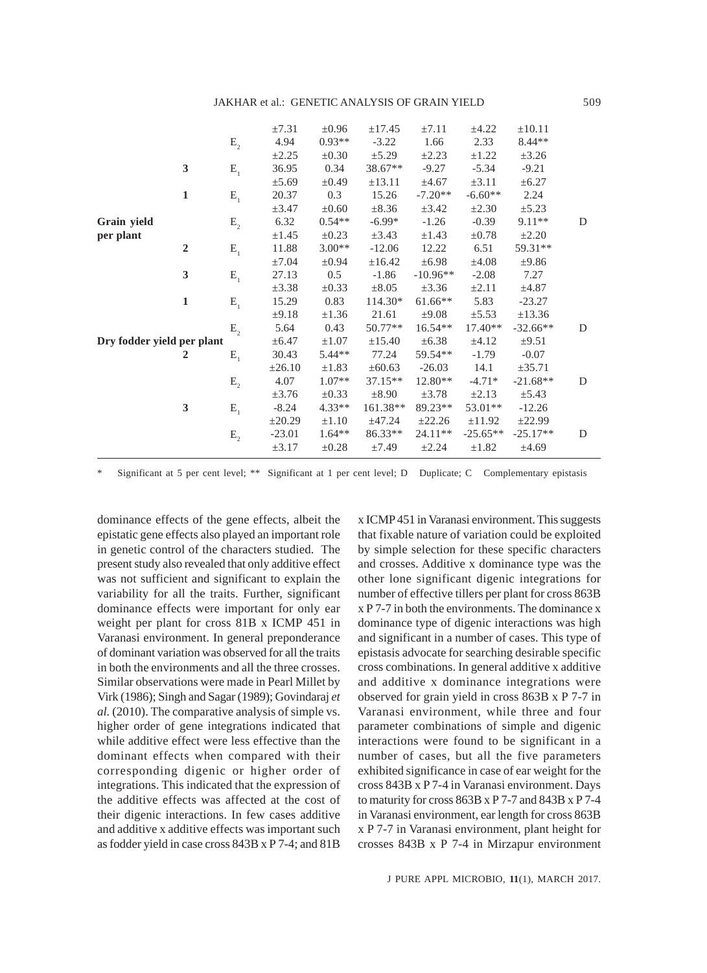|                            |                |                     | $\pm 7.31$  | $\pm 0.96$ | ±17.45      | $\pm 7.11$ | $\pm 4.22$  | $\pm 10.11$ |   |
|----------------------------|----------------|---------------------|-------------|------------|-------------|------------|-------------|-------------|---|
|                            |                | $\mathbf{E}_{_{2}}$ | 4.94        | $0.93**$   | $-3.22$     | 1.66       | 2.33        | $8.44**$    |   |
|                            |                |                     | $\pm 2.25$  | $\pm 0.30$ | $\pm$ 5.29  | $\pm 2.23$ | $\pm 1.22$  | $\pm 3.26$  |   |
|                            | 3              | $\mathbf{E}_{_{1}}$ | 36.95       | 0.34       | 38.67**     | $-9.27$    | $-5.34$     | $-9.21$     |   |
|                            |                |                     | $\pm 5.69$  | $\pm 0.49$ | $\pm 13.11$ | ±4.67      | $\pm 3.11$  | $\pm 6.27$  |   |
|                            | $\mathbf{1}$   | ${\bf E}_{_{1}}$    | 20.37       | 0.3        | 15.26       | $-7.20**$  | $-6.60**$   | 2.24        |   |
|                            |                |                     | $\pm 3.47$  | $\pm 0.60$ | $\pm 8.36$  | $\pm 3.42$ | $\pm 2.30$  | $\pm 5.23$  |   |
| Grain yield                |                | $E_{2}$             | 6.32        | $0.54**$   | $-6.99*$    | $-1.26$    | $-0.39$     | 9.11**      | D |
| per plant                  |                |                     | $\pm 1.45$  | $\pm 0.23$ | $\pm 3.43$  | $\pm 1.43$ | $\pm 0.78$  | $\pm 2.20$  |   |
|                            | $\overline{2}$ | $\mathbf{E}_{_{1}}$ | 11.88       | $3.00**$   | $-12.06$    | 12.22      | 6.51        | 59.31**     |   |
|                            |                |                     | ±7.04       | $\pm 0.94$ | ±16.42      | $\pm 6.98$ | ±4.08       | ±9.86       |   |
|                            | 3              | $\mathbf{E}_{_{1}}$ | 27.13       | 0.5        | $-1.86$     | $-10.96**$ | $-2.08$     | 7.27        |   |
|                            |                |                     | $\pm 3.38$  | $\pm 0.33$ | $\pm 8.05$  | $\pm 3.36$ | $\pm 2.11$  | $\pm 4.87$  |   |
|                            | $\mathbf{1}$   | $E_{1}$             | 15.29       | 0.83       | 114.30*     | $61.66**$  | 5.83        | $-23.27$    |   |
|                            |                |                     | ±9.18       | $\pm 1.36$ | 21.61       | $\pm 9.08$ | $\pm$ 5.53  | ±13.36      |   |
|                            |                | $E_{2}$             | 5.64        | 0.43       | $50.77**$   | $16.54**$  | $17.40**$   | $-32.66**$  | D |
| Dry fodder yield per plant |                |                     | $\pm 6.47$  | $\pm 1.07$ | ±15.40      | $\pm 6.38$ | $\pm 4.12$  | $\pm 9.51$  |   |
|                            | $\overline{2}$ | $\mathbf{E}_{_{1}}$ | 30.43       | 5.44**     | 77.24       | 59.54**    | $-1.79$     | $-0.07$     |   |
|                            |                |                     | $\pm 26.10$ | $\pm 1.83$ | $\pm 60.63$ | $-26.03$   | 14.1        | ±35.71      |   |
|                            |                | $\mathbf{E}_{_2}$   | 4.07        | $1.07**$   | $37.15**$   | $12.80**$  | $-4.71*$    | $-21.68**$  | D |
|                            |                |                     | $\pm 3.76$  | $\pm 0.33$ | $\pm 8.90$  | $\pm 3.78$ | $\pm 2.13$  | $\pm$ 5.43  |   |
|                            | 3              | $\mathbf{E}_{_{1}}$ | $-8.24$     | $4.33**$   | 161.38**    | 89.23**    | 53.01**     | $-12.26$    |   |
|                            |                |                     | $\pm 20.29$ | $\pm 1.10$ | $\pm 47.24$ | ±22.26     | $\pm 11.92$ | ±22.99      |   |
|                            |                | $E_{2}$             | $-23.01$    | $1.64**$   | $86.33**$   | $24.11**$  | $-25.65**$  | $-25.17**$  | D |
|                            |                |                     | $\pm 3.17$  | $\pm 0.28$ | $\pm 7.49$  | $\pm 2.24$ | $\pm 1.82$  | ±4.69       |   |
|                            |                |                     |             |            |             |            |             |             |   |

Significant at 5 per cent level; \*\* Significant at 1 per cent level; D Duplicate; C Complementary epistasis

dominance effects of the gene effects, albeit the epistatic gene effects also played an important role in genetic control of the characters studied. The present study also revealed that only additive effect was not sufficient and significant to explain the variability for all the traits. Further, significant dominance effects were important for only ear weight per plant for cross 81B x ICMP 451 in Varanasi environment. In general preponderance of dominant variation was observed for all the traits in both the environments and all the three crosses. Similar observations were made in Pearl Millet by Virk (1986); Singh and Sagar (1989); Govindaraj *et al.* (2010). The comparative analysis of simple vs. higher order of gene integrations indicated that while additive effect were less effective than the dominant effects when compared with their corresponding digenic or higher order of integrations. This indicated that the expression of the additive effects was affected at the cost of their digenic interactions. In few cases additive and additive x additive effects was important such as fodder yield in case cross 843B x P 7-4; and 81B

x ICMP 451 in Varanasi environment. This suggests that fixable nature of variation could be exploited by simple selection for these specific characters and crosses. Additive x dominance type was the other lone significant digenic integrations for number of effective tillers per plant for cross 863B x P 7-7 in both the environments. The dominance x dominance type of digenic interactions was high and significant in a number of cases. This type of epistasis advocate for searching desirable specific cross combinations. In general additive x additive and additive x dominance integrations were observed for grain yield in cross 863B x P 7-7 in Varanasi environment, while three and four parameter combinations of simple and digenic interactions were found to be significant in a number of cases, but all the five parameters exhibited significance in case of ear weight for the cross 843B x P 7-4 in Varanasi environment. Days to maturity for cross 863B x P 7-7 and 843B x P 7-4 in Varanasi environment, ear length for cross 863B x P 7-7 in Varanasi environment, plant height for crosses 843B x P 7-4 in Mirzapur environment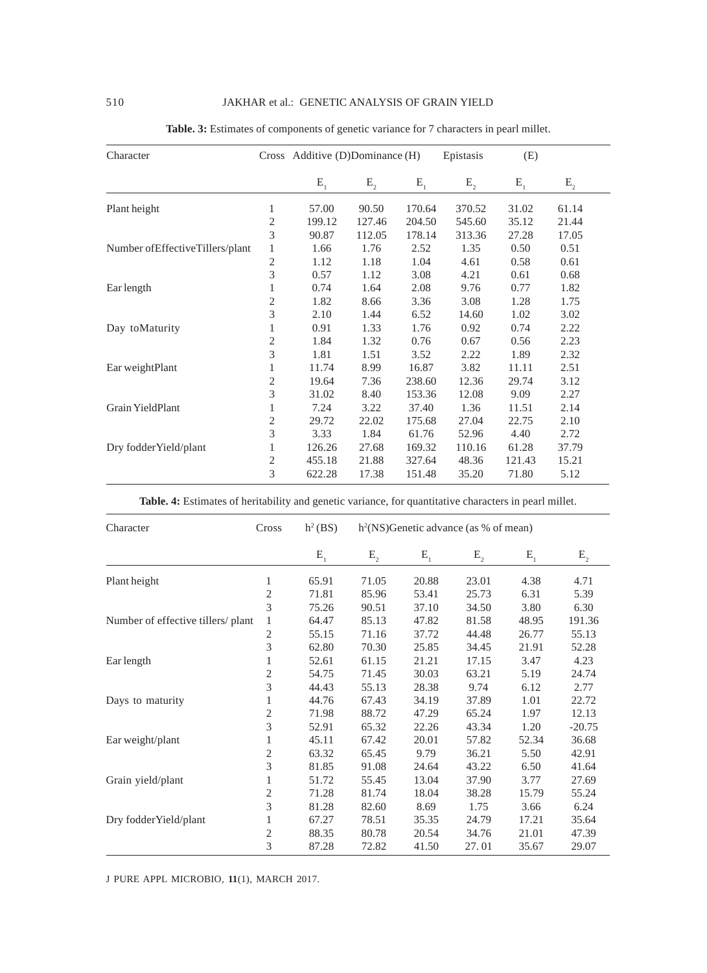| Character                         |                | Cross Additive (D)Dominance (H) |         |         | Epistasis<br>(E) |         |         |
|-----------------------------------|----------------|---------------------------------|---------|---------|------------------|---------|---------|
|                                   |                | $E_{1}$                         | $E_{2}$ | $E_{1}$ | $E_{2}$          | $E_{1}$ | $E_{2}$ |
| Plant height                      | 1              | 57.00                           | 90.50   | 170.64  | 370.52           | 31.02   | 61.14   |
|                                   | 2              | 199.12                          | 127.46  | 204.50  | 545.60           | 35.12   | 21.44   |
|                                   | 3              | 90.87                           | 112.05  | 178.14  | 313.36           | 27.28   | 17.05   |
| Number of Effective Tillers/plant | 1              | 1.66                            | 1.76    | 2.52    | 1.35             | 0.50    | 0.51    |
|                                   | 2              | 1.12                            | 1.18    | 1.04    | 4.61             | 0.58    | 0.61    |
|                                   | 3              | 0.57                            | 1.12    | 3.08    | 4.21             | 0.61    | 0.68    |
| Ear length                        | 1              | 0.74                            | 1.64    | 2.08    | 9.76             | 0.77    | 1.82    |
|                                   | 2              | 1.82                            | 8.66    | 3.36    | 3.08             | 1.28    | 1.75    |
|                                   | 3              | 2.10                            | 1.44    | 6.52    | 14.60            | 1.02    | 3.02    |
| Day toMaturity                    | 1              | 0.91                            | 1.33    | 1.76    | 0.92             | 0.74    | 2.22    |
|                                   | $\overline{c}$ | 1.84                            | 1.32    | 0.76    | 0.67             | 0.56    | 2.23    |
|                                   | 3              | 1.81                            | 1.51    | 3.52    | 2.22             | 1.89    | 2.32    |
| Ear weightPlant                   | 1              | 11.74                           | 8.99    | 16.87   | 3.82             | 11.11   | 2.51    |
|                                   | 2              | 19.64                           | 7.36    | 238.60  | 12.36            | 29.74   | 3.12    |
|                                   | 3              | 31.02                           | 8.40    | 153.36  | 12.08            | 9.09    | 2.27    |
| Grain YieldPlant                  | 1              | 7.24                            | 3.22    | 37.40   | 1.36             | 11.51   | 2.14    |
|                                   | 2              | 29.72                           | 22.02   | 175.68  | 27.04            | 22.75   | 2.10    |
|                                   | 3              | 3.33                            | 1.84    | 61.76   | 52.96            | 4.40    | 2.72    |
| Dry fodderYield/plant             | 1              | 126.26                          | 27.68   | 169.32  | 110.16           | 61.28   | 37.79   |
|                                   | 2              | 455.18                          | 21.88   | 327.64  | 48.36            | 121.43  | 15.21   |
|                                   | 3              | 622.28                          | 17.38   | 151.48  | 35.20            | 71.80   | 5.12    |

**Table. 3:** Estimates of components of genetic variance for 7 characters in pearl millet.

**Table. 4:** Estimates of heritability and genetic variance, for quantitative characters in pearl millet.

| Character                         | Cross          | $h^2(BS)$ | $h2(NS)$ Genetic advance (as % of mean) |         |         |         |          |  |
|-----------------------------------|----------------|-----------|-----------------------------------------|---------|---------|---------|----------|--|
|                                   |                | $E_{1}$   | $E_{2}$                                 | $E_{1}$ | $E_{2}$ | $E_{1}$ | $E_{2}$  |  |
| Plant height                      | 1              | 65.91     | 71.05                                   | 20.88   | 23.01   | 4.38    | 4.71     |  |
|                                   | 2              | 71.81     | 85.96                                   | 53.41   | 25.73   | 6.31    | 5.39     |  |
|                                   | 3              | 75.26     | 90.51                                   | 37.10   | 34.50   | 3.80    | 6.30     |  |
| Number of effective tillers/plant | 1              | 64.47     | 85.13                                   | 47.82   | 81.58   | 48.95   | 191.36   |  |
|                                   | 2              | 55.15     | 71.16                                   | 37.72   | 44.48   | 26.77   | 55.13    |  |
|                                   | 3              | 62.80     | 70.30                                   | 25.85   | 34.45   | 21.91   | 52.28    |  |
| Ear length                        | 1              | 52.61     | 61.15                                   | 21.21   | 17.15   | 3.47    | 4.23     |  |
|                                   | $\overline{c}$ | 54.75     | 71.45                                   | 30.03   | 63.21   | 5.19    | 24.74    |  |
|                                   | 3              | 44.43     | 55.13                                   | 28.38   | 9.74    | 6.12    | 2.77     |  |
| Days to maturity                  | 1              | 44.76     | 67.43                                   | 34.19   | 37.89   | 1.01    | 22.72    |  |
|                                   | $\sqrt{2}$     | 71.98     | 88.72                                   | 47.29   | 65.24   | 1.97    | 12.13    |  |
|                                   | 3              | 52.91     | 65.32                                   | 22.26   | 43.34   | 1.20    | $-20.75$ |  |
| Ear weight/plant                  | 1              | 45.11     | 67.42                                   | 20.01   | 57.82   | 52.34   | 36.68    |  |
|                                   | 2              | 63.32     | 65.45                                   | 9.79    | 36.21   | 5.50    | 42.91    |  |
|                                   | 3              | 81.85     | 91.08                                   | 24.64   | 43.22   | 6.50    | 41.64    |  |
| Grain yield/plant                 | 1              | 51.72     | 55.45                                   | 13.04   | 37.90   | 3.77    | 27.69    |  |
|                                   | 2              | 71.28     | 81.74                                   | 18.04   | 38.28   | 15.79   | 55.24    |  |
|                                   | 3              | 81.28     | 82.60                                   | 8.69    | 1.75    | 3.66    | 6.24     |  |
| Dry fodderYield/plant             | $\mathbf{1}$   | 67.27     | 78.51                                   | 35.35   | 24.79   | 17.21   | 35.64    |  |
|                                   | $\overline{c}$ | 88.35     | 80.78                                   | 20.54   | 34.76   | 21.01   | 47.39    |  |
|                                   | 3              | 87.28     | 72.82                                   | 41.50   | 27.01   | 35.67   | 29.07    |  |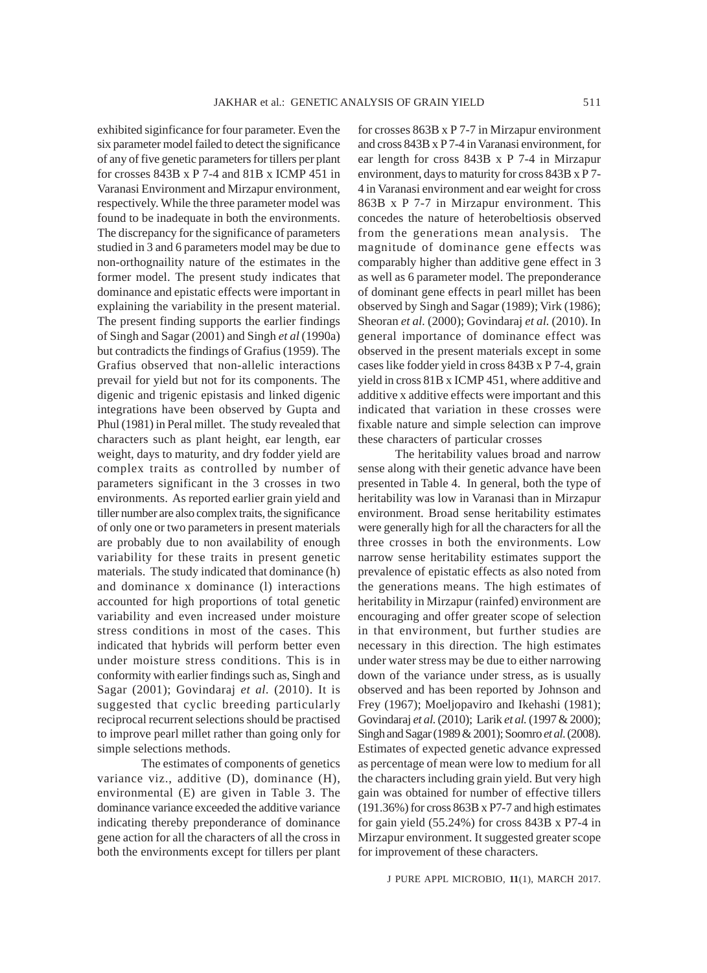exhibited siginficance for four parameter. Even the six parameter model failed to detect the significance of any of five genetic parameters for tillers per plant for crosses 843B x P 7-4 and 81B x ICMP 451 in Varanasi Environment and Mirzapur environment, respectively. While the three parameter model was found to be inadequate in both the environments. The discrepancy for the significance of parameters studied in 3 and 6 parameters model may be due to non-orthognaility nature of the estimates in the former model. The present study indicates that dominance and epistatic effects were important in explaining the variability in the present material. The present finding supports the earlier findings of Singh and Sagar (2001) and Singh *et al* (1990a) but contradicts the findings of Grafius (1959). The Grafius observed that non-allelic interactions prevail for yield but not for its components. The digenic and trigenic epistasis and linked digenic integrations have been observed by Gupta and Phul (1981) in Peral millet. The study revealed that characters such as plant height, ear length, ear weight, days to maturity, and dry fodder yield are complex traits as controlled by number of parameters significant in the 3 crosses in two environments. As reported earlier grain yield and tiller number are also complex traits, the significance of only one or two parameters in present materials are probably due to non availability of enough variability for these traits in present genetic materials. The study indicated that dominance (h) and dominance x dominance (l) interactions accounted for high proportions of total genetic variability and even increased under moisture stress conditions in most of the cases. This indicated that hybrids will perform better even under moisture stress conditions. This is in conformity with earlier findings such as, Singh and Sagar (2001); Govindaraj *et al.* (2010). It is suggested that cyclic breeding particularly reciprocal recurrent selections should be practised to improve pearl millet rather than going only for simple selections methods.

The estimates of components of genetics variance viz., additive (D), dominance (H), environmental (E) are given in Table 3. The dominance variance exceeded the additive variance indicating thereby preponderance of dominance gene action for all the characters of all the cross in both the environments except for tillers per plant for crosses 863B x P 7-7 in Mirzapur environment and cross 843B x P 7-4 in Varanasi environment, for ear length for cross 843B x P 7-4 in Mirzapur environment, days to maturity for cross 843B x P 7- 4 in Varanasi environment and ear weight for cross 863B x P 7-7 in Mirzapur environment. This concedes the nature of heterobeltiosis observed from the generations mean analysis. The magnitude of dominance gene effects was comparably higher than additive gene effect in 3 as well as 6 parameter model. The preponderance of dominant gene effects in pearl millet has been observed by Singh and Sagar (1989); Virk (1986); Sheoran *et al.* (2000); Govindaraj *et al.* (2010). In general importance of dominance effect was observed in the present materials except in some cases like fodder yield in cross 843B x P 7-4, grain yield in cross 81B x ICMP 451, where additive and additive x additive effects were important and this indicated that variation in these crosses were fixable nature and simple selection can improve these characters of particular crosses

 The heritability values broad and narrow sense along with their genetic advance have been presented in Table 4. In general, both the type of heritability was low in Varanasi than in Mirzapur environment. Broad sense heritability estimates were generally high for all the characters for all the three crosses in both the environments. Low narrow sense heritability estimates support the prevalence of epistatic effects as also noted from the generations means. The high estimates of heritability in Mirzapur (rainfed) environment are encouraging and offer greater scope of selection in that environment, but further studies are necessary in this direction. The high estimates under water stress may be due to either narrowing down of the variance under stress, as is usually observed and has been reported by Johnson and Frey (1967); Moeljopaviro and Ikehashi (1981); Govindaraj *et al.* (2010); Larik *et al.* (1997 & 2000); Singh and Sagar (1989 & 2001); Soomro *et al*. (2008). Estimates of expected genetic advance expressed as percentage of mean were low to medium for all the characters including grain yield. But very high gain was obtained for number of effective tillers (191.36%) for cross 863B x P7-7 and high estimates for gain yield (55.24%) for cross 843B x P7-4 in Mirzapur environment. It suggested greater scope for improvement of these characters.